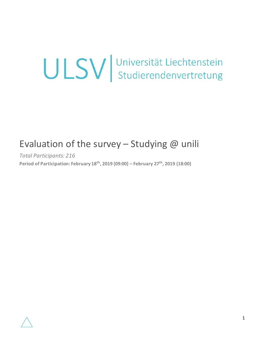# ULSV Universität Liechtenstein

# Evaluation of the survey - Studying  $@$  unili

*Total Participants: 216* **Period of Participation: February 18th, 2019 (09:00) – February 27th, 2019 (18:00)**

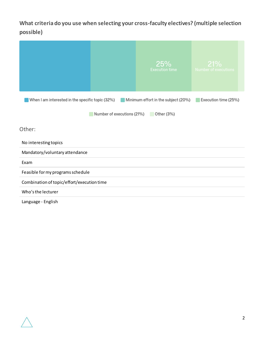**What criteria do you use when selecting your cross-faculty electives? (multiple selection possible)**

|                                                  |                            | 25%<br><b>Execution time</b>        | 21%<br>Number of executions |
|--------------------------------------------------|----------------------------|-------------------------------------|-----------------------------|
| When I am interested in the specific topic (32%) |                            | Minimum effort in the subject (20%) | Execution time (25%)        |
|                                                  | Number of executions (21%) | Other (3%)                          |                             |
| Other:                                           |                            |                                     |                             |
| No interesting topics                            |                            |                                     |                             |
| Mandatory/voluntary attendance                   |                            |                                     |                             |
| Exam                                             |                            |                                     |                             |
| Feasible for my programs schedule                |                            |                                     |                             |
| Combination of topic/effort/execution time       |                            |                                     |                             |
| Who's the lecturer                               |                            |                                     |                             |
| Language - English                               |                            |                                     |                             |

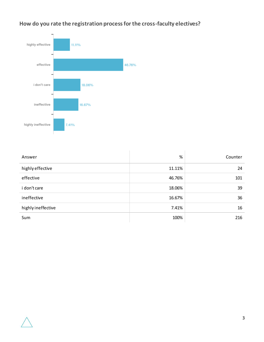



| Answer             | $\%$   | Counter |
|--------------------|--------|---------|
| highly effective   | 11.11% | 24      |
| effective          | 46.76% | 101     |
| i don't care       | 18.06% | 39      |
| ineffective        | 16.67% | 36      |
| highly ineffective | 7.41%  | 16      |
| Sum                | 100%   | 216     |

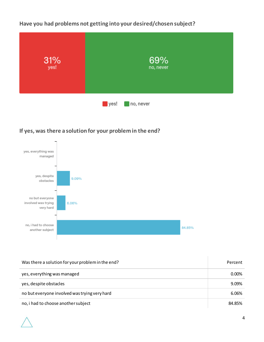**Have you had problems not getting into your desired/chosen subject?**



#### **If yes, was there a solution for your problem in the end?**



| Was there a solution for your problem in the end? | Percent  |
|---------------------------------------------------|----------|
| yes, everything was managed                       | $0.00\%$ |
| yes, despite obstacles                            | 9.09%    |
| no but everyone involved was trying very hard     | 6.06%    |
| no, i had to choose another subject               | 84.85%   |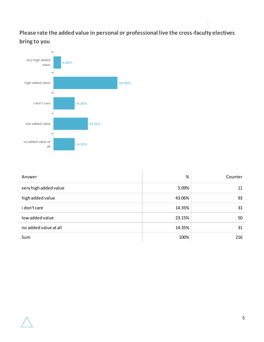**Please rate the added value in personal or professional live the cross-faculty electives bring to you**



| Answer                | %      | Counter |
|-----------------------|--------|---------|
| very high added value | 5.09%  | 11      |
| high added value      | 43.06% | 93      |
| i don't care          | 14.35% | 31      |
| low added value       | 23.15% | 50      |
| no added value at all | 14.35% | 31      |
| Sum                   | 100%   | 216     |

 $\mathcal{L}$ 

÷.

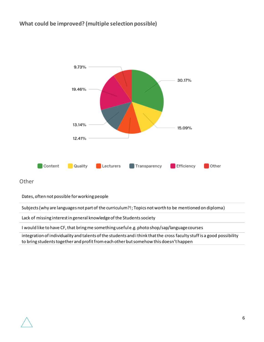#### **What could be improved? (multiple selection possible)**



#### **Other**

Dates, often not possible for working people

Subjects (why are languages not part of the curriculum?!; Topics not worth to be mentioned on diploma)

Lack of missing interest in general knowledge of the Students society

I would like to have CF, that bring me something useful e.g. photo shop/sap/language courses

integration of individuality and talents of the students and i think that the cross faculty stuff is a good possibility to bring students together and profit from each other but somehow this doesn't happen

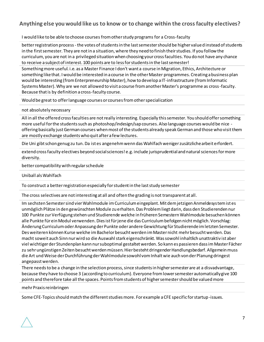#### **Anything else you would like us to know or to change within the cross faculty electives?**

#### I would like to be able to choose courses from other study programs for a Cross-faculty

better registration process - the votes of students in the last semester should be higher valued instead of students in the first semester. They are not in a situation, where they need to finish their studies. If you follow the curriculum, you are not in a privileged situation when choosing your cross faculties. You do not have any chance to receive a subject of interest. 100 points are to less for students in the last semester!

Something more useful. i.e. as a Master Finance I don't want a course in Migration, Ethics, Architecture or something like that. I would be interested in a course in the other Master programmes. Creating a business plan would be interesting (from Enterpreneurship Master), how to develop a IT-infrastructure (from Informatic Systems Master). Why are we not allowed to visit a course from another Master's programme as cross-faculty. Because that is by definition a cross-faculty course.

Would be great to offer language courses or courses from other specialication

not absolutely necessary

All in all the offered cross faculties are not really interesting. Especially this semester. You should offer something more useful for the students such as photoshop/indesign/sap courses. Also language courses would be nice offering basically just German courses when most of the students already speak German and those who visit them are mostly exchange students who quit after a few lectures.

Die Uni gibt schon genug zu tun. Da ist es angenehm wenn das Wahlfach weniger zusätzliche arbeit erfordert.

extend cross faculty electives beyond social sciences! e.g. include jurisprudential and natural sciences for more diversity.

better compatibility with regular schedule

Uniball als Wahlfach

To construct a better registration especially for student in the last study semester

The cross selectives are not interesting at all and often the grading is not transparent at all.

Im sechsten Semester sind vier Wahlmodule im Curriculum eingeplant. Mit dem jetzigen Anmeldesystem ist es unmöglich Plätze in den gewünschten Module zu erhalten. Das Problem liegt darin, dass den Studierenden nur 100 Punkte zur Verfügung stehen und Studierende welche in früheren Semestern Wahlmodule besuchen können alle Punkte für ein Modul verwenden. Dies ist für jene die das Curriculum befolgen nicht möglich. Vorschlag: Änderung Curriculum oder Anpassung der Punkte oder andere Gewichtung für Studierende im letzten Semester. Des weiteren können Kurse welche im Bachelor besucht werden im Master nicht mehr besucht werden. Das macht soweit auch Sinn nur wird so die Auswahl stark eigenschränkt. Was sowohl inhaltlich unattraktiv ist aber viel wichtiger der Stundenplan kann nur suboptimal gestaltet werden. So kann es passieren dass im Master Fächer zu sehrungünstigen Zeiten besucht werden müssen. Hier besteht dringender Handlungsbedarf. Allgemein muss die Art und Weise der Durchführung der Wahlmodule sowohl vom Inhalt wie auch von der Planung dringest angepasst werden.

There needs to be a change in the selection process, since students in higher semester are at a disvadvantage, because they have to choose 3 (according to curriculum). Everyone from lower semester automatically give 100 points and therefore take all the spaces. Points from students of higher semester should be valued more

mehr Praxis reinbringen

Some CFE-Topics should match the different studies more. For example a CFE specific for startup-issues.

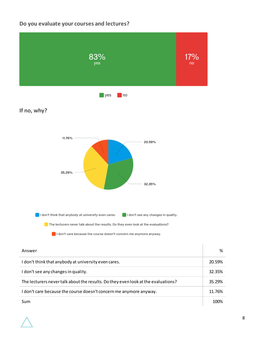#### **Do you evaluate your courses and lectures?**

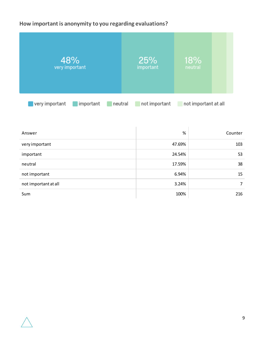# **How important is anonymity to you regarding evaluations?**

| 48%                                    | 25%           | <b>18%</b>           |  |
|----------------------------------------|---------------|----------------------|--|
| very important                         | important     | neutral              |  |
| very important<br>important<br>neutral | not important | not important at all |  |

| Answer               | %      | Counter |
|----------------------|--------|---------|
| very important       | 47.69% | 103     |
| important            | 24.54% | 53      |
| neutral              | 17.59% | 38      |
| not important        | 6.94%  | 15      |
| not important at all | 3.24%  | 7       |
| Sum                  | 100%   | 216     |

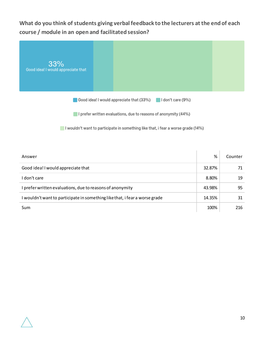**What do you think of students giving verbal feedback to the lecturers at the end of each course / module in an open and facilitated session?**



I prefer written evaluations, due to reasons of anonymity (44%)

I wouldn't want to participate in something like that, i fear a worse grade (14%)

| Answer                                                                    | %      | Counter |
|---------------------------------------------------------------------------|--------|---------|
| Good idea! I would appreciate that                                        | 32.87% | 71      |
| don't care                                                                | 8.80%  | 19      |
| I prefer written evaluations, due to reasons of anonymity                 | 43.98% | 95      |
| wouldn't want to participate in something like that, i fear a worse grade | 14.35% | 31      |
| Sum                                                                       | 100%   | 216.    |

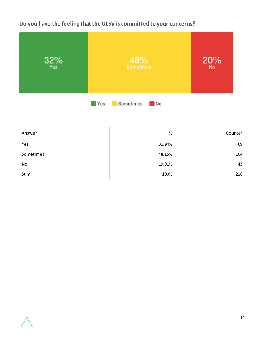## **Do you have the feeling that the ULSV is committed to your concerns?**



| Answer    | %      | Counter |
|-----------|--------|---------|
| Yes       | 31.94% | 69      |
| Sometimes | 48.15% | 104     |
| No        | 19.91% | 43      |
| Sum       | 100%   | 216     |

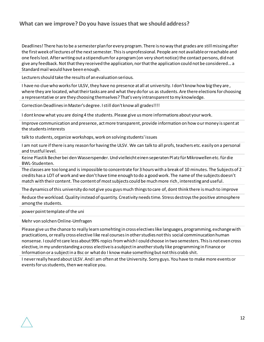#### **What can we improve? Do you have issues that we should address?**

Deadlines! There has to be a semester plan for every program. There is no way that grades are still missing after the first week of lectures of the next semester. This is unprofessional. People are not available or reachable and one feels lost. After writing out a stipendium for a program (on very short notice) the contact persons, did not give any feedback. Not that they received the application, nor that the application could not be considered... a Standard mail would have been enough.

Lecturers should take the results of an evaluation serious.

I have no clue who works for ULSV, they have no presence at all at university. I don't know how big they are , where they are located, what their tasks are and what they do for us as students. Are there elections for choosing a representative or are they choosing themselves? That's very intransparent to my knowledge.

Correction Deadlines in Master's degree. I still don't know all grades!!!!

I dont know what you are doing 4 the students. Please give us more informations about your work.

Improve communication and presence, act more transparent, provide information on how our money is spent at the students interests

talk to students, organize workshops, work on solving students' issues

I am not sure if there is any reason for having the ULSV. We can talk to all profs, teachers etc. easily on a personal and trustful level.

Keine Plastik Becher bei den Wasserspender. Und vielleicht einen seperaten Pl atz für Mikrowellen etc. für die BWL-Studenten.

The classes are too long and is impossible to concentrate for 3 hours with a break of 10 minutes. The Subjects of 2 credits has a LOT of work and we don't have time enough to do a good work. The name of the subjects doesn't match with their content. The content of most subjects could be much more rich, interesting and useful.

The dynamics of this university do not give you guys much things to care of, dont think there is much to improve

Reduce the workload. Quality instead of quantity. Creativity needs time. Stress destroys the positive atmosphere among the students.

power point template of the uni

Mehr von solchen Online-Umfragen

Please give us the chance to really learn somehting in cross electives like languages, programming, exchange with practications, or really cross elective like real courses in other studies not this social comminucation human nonsense. I could'nt care less about 99% ropics from which I could choose in two semesters. This is not even cross elective, in my understanding a cross elective is a subject in another study like programming in Finance or Information or a subject in a Bsc or what do I know make something but not this crabb shit.

I never really heard about ULSV. And I am often at the University. Sorry guys. You have to make more events or events for us students, then we realice you.

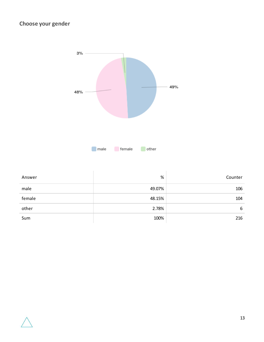## **Choose your gender**



| Answer | %      | Counter |
|--------|--------|---------|
| male   | 49.07% | 106     |
| female | 48.15% | 104     |
| other  | 2.78%  | 6       |
| Sum    | 100%   | 216     |

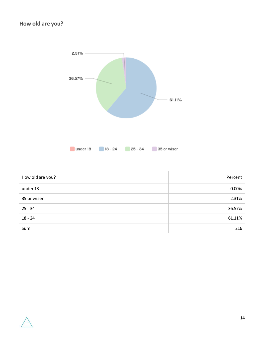

| How old are you? | Percent |
|------------------|---------|
| under 18         | 0.00%   |
| 35 or wiser      | 2.31%   |
| $25 - 34$        | 36.57%  |
| $18 - 24$        | 61.11%  |
| Sum              | 216     |